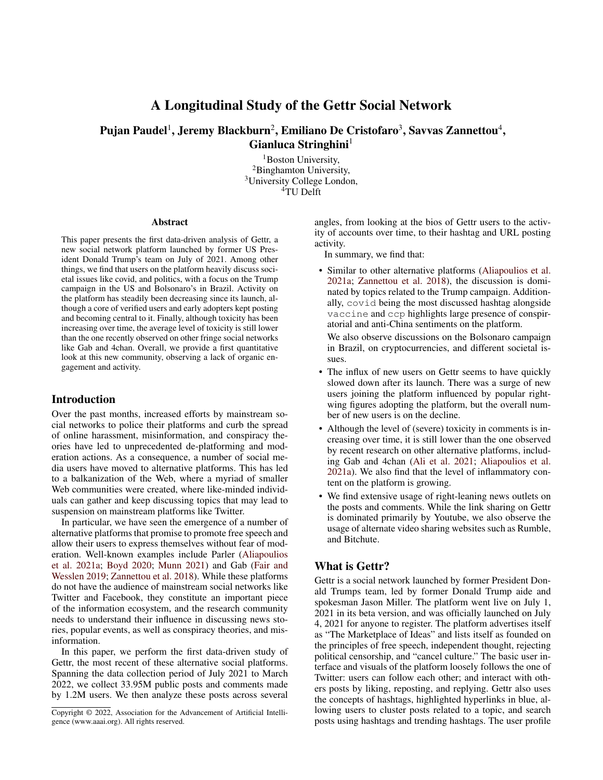# A Longitudinal Study of the Gettr Social Network

# Pujan Paudel $^1$ , Jeremy Blackburn $^2$ , Emiliano De Cristofaro $^3$ , Savvas Zannettou $^4,$ Gianluca Stringhini $<sup>1</sup>$ </sup>

<sup>1</sup>Boston University, <sup>2</sup>Binghamton University, <sup>3</sup>University College London, <sup>4</sup>TU Delft

#### Abstract

This paper presents the first data-driven analysis of Gettr, a new social network platform launched by former US President Donald Trump's team on July of 2021. Among other things, we find that users on the platform heavily discuss societal issues like covid, and politics, with a focus on the Trump campaign in the US and Bolsonaro's in Brazil. Activity on the platform has steadily been decreasing since its launch, although a core of verified users and early adopters kept posting and becoming central to it. Finally, although toxicity has been increasing over time, the average level of toxicity is still lower than the one recently observed on other fringe social networks like Gab and 4chan. Overall, we provide a first quantitative look at this new community, observing a lack of organic engagement and activity.

## Introduction

Over the past months, increased efforts by mainstream social networks to police their platforms and curb the spread of online harassment, misinformation, and conspiracy theories have led to unprecedented de-platforming and moderation actions. As a consequence, a number of social media users have moved to alternative platforms. This has led to a balkanization of the Web, where a myriad of smaller Web communities were created, where like-minded individuals can gather and keep discussing topics that may lead to suspension on mainstream platforms like Twitter.

In particular, we have seen the emergence of a number of alternative platforms that promise to promote free speech and allow their users to express themselves without fear of moderation. Well-known examples include Parler [\(Aliapoulios](#page-7-0) [et al.](#page-7-0) [2021a;](#page-7-0) [Boyd](#page-7-1) [2020;](#page-7-1) [Munn](#page-8-0) [2021\)](#page-8-0) and Gab [\(Fair and](#page-7-2) [Wesslen](#page-7-2) [2019;](#page-7-2) [Zannettou et al.](#page-8-1) [2018\)](#page-8-1). While these platforms do not have the audience of mainstream social networks like Twitter and Facebook, they constitute an important piece of the information ecosystem, and the research community needs to understand their influence in discussing news stories, popular events, as well as conspiracy theories, and misinformation.

In this paper, we perform the first data-driven study of Gettr, the most recent of these alternative social platforms. Spanning the data collection period of July 2021 to March 2022, we collect 33.95M public posts and comments made by 1.2M users. We then analyze these posts across several

angles, from looking at the bios of Gettr users to the activity of accounts over time, to their hashtag and URL posting activity.

In summary, we find that:

• Similar to other alternative platforms [\(Aliapoulios et al.](#page-7-0) [2021a;](#page-7-0) [Zannettou et al.](#page-8-1) [2018\)](#page-8-1), the discussion is dominated by topics related to the Trump campaign. Additionally, covid being the most discussed hashtag alongside vaccine and ccp highlights large presence of conspiratorial and anti-China sentiments on the platform.

We also observe discussions on the Bolsonaro campaign in Brazil, on cryptocurrencies, and different societal issues.

- The influx of new users on Gettr seems to have quickly slowed down after its launch. There was a surge of new users joining the platform influenced by popular rightwing figures adopting the platform, but the overall number of new users is on the decline.
- Although the level of (severe) toxicity in comments is increasing over time, it is still lower than the one observed by recent research on other alternative platforms, including Gab and 4chan [\(Ali et al.](#page-7-3) [2021;](#page-7-3) [Aliapoulios et al.](#page-7-0) [2021a\)](#page-7-0). We also find that the level of inflammatory content on the platform is growing.
- We find extensive usage of right-leaning news outlets on the posts and comments. While the link sharing on Gettr is dominated primarily by Youtube, we also observe the usage of alternate video sharing websites such as Rumble, and Bitchute.

## What is Gettr?

Gettr is a social network launched by former President Donald Trumps team, led by former Donald Trump aide and spokesman Jason Miller. The platform went live on July 1, 2021 in its beta version, and was officially launched on July 4, 2021 for anyone to register. The platform advertises itself as "The Marketplace of Ideas" and lists itself as founded on the principles of free speech, independent thought, rejecting political censorship, and "cancel culture." The basic user interface and visuals of the platform loosely follows the one of Twitter: users can follow each other; and interact with others posts by liking, reposting, and replying. Gettr also uses the concepts of hashtags, highlighted hyperlinks in blue, allowing users to cluster posts related to a topic, and search posts using hashtags and trending hashtags. The user profile

Copyright © 2022, Association for the Advancement of Artificial Intelligence (www.aaai.org). All rights reserved.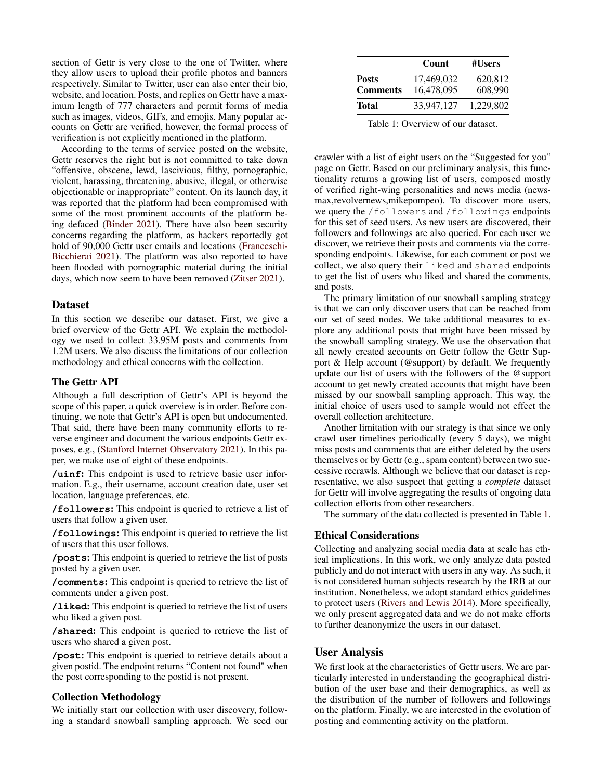section of Gettr is very close to the one of Twitter, where they allow users to upload their profile photos and banners respectively. Similar to Twitter, user can also enter their bio, website, and location. Posts, and replies on Gettr have a maximum length of 777 characters and permit forms of media such as images, videos, GIFs, and emojis. Many popular accounts on Gettr are verified, however, the formal process of verification is not explicitly mentioned in the platform.

According to the terms of service posted on the website, Gettr reserves the right but is not committed to take down "offensive, obscene, lewd, lascivious, filthy, pornographic, violent, harassing, threatening, abusive, illegal, or otherwise objectionable or inappropriate" content. On its launch day, it was reported that the platform had been compromised with some of the most prominent accounts of the platform being defaced [\(Binder](#page-7-4) [2021\)](#page-7-4). There have also been security concerns regarding the platform, as hackers reportedly got hold of 90,000 Gettr user emails and locations [\(Franceschi-](#page-7-5)[Bicchierai](#page-7-5) [2021\)](#page-7-5). The platform was also reported to have been flooded with pornographic material during the initial days, which now seem to have been removed [\(Zitser](#page-8-2) [2021\)](#page-8-2).

#### Dataset

In this section we describe our dataset. First, we give a brief overview of the Gettr API. We explain the methodology we used to collect 33.95M posts and comments from 1.2M users. We also discuss the limitations of our collection methodology and ethical concerns with the collection.

#### The Gettr API

Although a full description of Gettr's API is beyond the scope of this paper, a quick overview is in order. Before continuing, we note that Gettr's API is open but undocumented. That said, there have been many community efforts to reverse engineer and document the various endpoints Gettr exposes, e.g., [\(Stanford Internet Observatory](#page-8-3) [2021\)](#page-8-3). In this paper, we make use of eight of these endpoints.

**/uinf**: This endpoint is used to retrieve basic user information. E.g., their username, account creation date, user set location, language preferences, etc.

**/followers**: This endpoint is queried to retrieve a list of users that follow a given user.

**/followings**: This endpoint is queried to retrieve the list of users that this user follows.

**/posts**: This endpoint is queried to retrieve the list of posts posted by a given user.

**/comments**: This endpoint is queried to retrieve the list of comments under a given post.

**/liked**: This endpoint is queried to retrieve the list of users who liked a given post.

**/shared**: This endpoint is queried to retrieve the list of users who shared a given post.

**/post**: This endpoint is queried to retrieve details about a given postid. The endpoint returns "Content not found" when the post corresponding to the postid is not present.

## Collection Methodology

We initially start our collection with user discovery, following a standard snowball sampling approach. We seed our

<span id="page-1-0"></span>

|                                 | Count                    | #Users             |
|---------------------------------|--------------------------|--------------------|
| <b>Posts</b><br><b>Comments</b> | 17,469,032<br>16,478,095 | 620,812<br>608.990 |
| Total                           | 33.947.127               | 1,229,802          |

Table 1: Overview of our dataset.

crawler with a list of eight users on the "Suggested for you" page on Gettr. Based on our preliminary analysis, this functionality returns a growing list of users, composed mostly of verified right-wing personalities and news media (newsmax,revolvernews,mikepompeo). To discover more users, we query the /followers and /followings endpoints for this set of seed users. As new users are discovered, their followers and followings are also queried. For each user we discover, we retrieve their posts and comments via the corresponding endpoints. Likewise, for each comment or post we collect, we also query their liked and shared endpoints to get the list of users who liked and shared the comments, and posts.

The primary limitation of our snowball sampling strategy is that we can only discover users that can be reached from our set of seed nodes. We take additional measures to explore any additional posts that might have been missed by the snowball sampling strategy. We use the observation that all newly created accounts on Gettr follow the Gettr Support & Help account (@support) by default. We frequently update our list of users with the followers of the @support account to get newly created accounts that might have been missed by our snowball sampling approach. This way, the initial choice of users used to sample would not effect the overall collection architecture.

Another limitation with our strategy is that since we only crawl user timelines periodically (every 5 days), we might miss posts and comments that are either deleted by the users themselves or by Gettr (e.g., spam content) between two successive recrawls. Although we believe that our dataset is representative, we also suspect that getting a *complete* dataset for Gettr will involve aggregating the results of ongoing data collection efforts from other researchers.

The summary of the data collected is presented in Table [1.](#page-1-0)

## Ethical Considerations

Collecting and analyzing social media data at scale has ethical implications. In this work, we only analyze data posted publicly and do not interact with users in any way. As such, it is not considered human subjects research by the IRB at our institution. Nonetheless, we adopt standard ethics guidelines to protect users [\(Rivers and Lewis](#page-8-4) [2014\)](#page-8-4). More specifically, we only present aggregated data and we do not make efforts to further deanonymize the users in our dataset.

### User Analysis

We first look at the characteristics of Gettr users. We are particularly interested in understanding the geographical distribution of the user base and their demographics, as well as the distribution of the number of followers and followings on the platform. Finally, we are interested in the evolution of posting and commenting activity on the platform.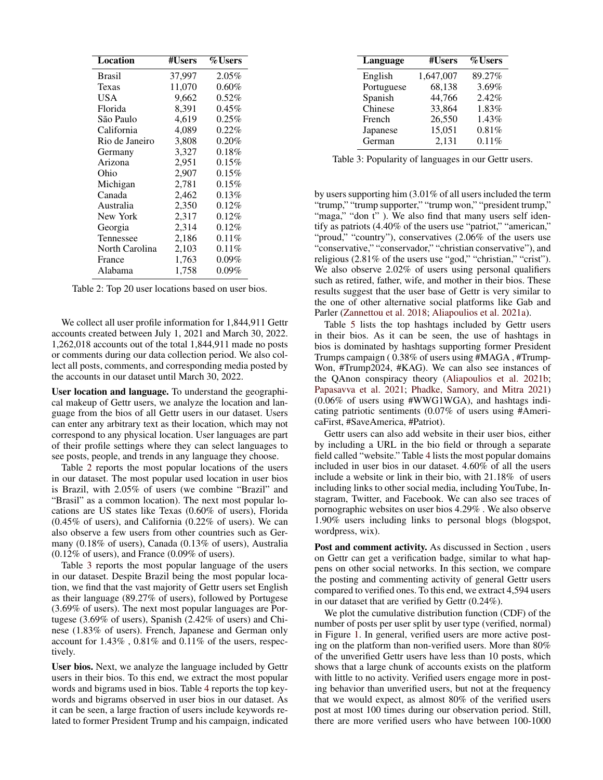<span id="page-2-0"></span>

| Location       | #Users | %Users   |
|----------------|--------|----------|
| <b>Brasil</b>  | 37,997 | $2.05\%$ |
| Texas          | 11,070 | $0.60\%$ |
| USA            | 9,662  | $0.52\%$ |
| Florida        | 8.391  | $0.45\%$ |
| São Paulo      | 4,619  | $0.25\%$ |
| California     | 4,089  | 0.22%    |
| Rio de Janeiro | 3,808  | $0.20\%$ |
| Germany        | 3,327  | 0.18%    |
| Arizona        | 2,951  | $0.15\%$ |
| Ohio           | 2,907  | 0.15%    |
| Michigan       | 2,781  | 0.15%    |
| Canada         | 2,462  | $0.13\%$ |
| Australia      | 2,350  | $0.12\%$ |
| New York       | 2,317  | $0.12\%$ |
| Georgia        | 2,314  | $0.12\%$ |
| Tennessee      | 2,186  | $0.11\%$ |
| North Carolina | 2,103  | $0.11\%$ |
| France         | 1,763  | $0.09\%$ |
| Alabama        | 1,758  | $0.09\%$ |

Table 2: Top 20 user locations based on user bios.

We collect all user profile information for 1,844,911 Gettr accounts created between July 1, 2021 and March 30, 2022. 1,262,018 accounts out of the total 1,844,911 made no posts or comments during our data collection period. We also collect all posts, comments, and corresponding media posted by the accounts in our dataset until March 30, 2022.

User location and language. To understand the geographical makeup of Gettr users, we analyze the location and language from the bios of all Gettr users in our dataset. Users can enter any arbitrary text as their location, which may not correspond to any physical location. User languages are part of their profile settings where they can select languages to see posts, people, and trends in any language they choose.

Table [2](#page-2-0) reports the most popular locations of the users in our dataset. The most popular used location in user bios is Brazil, with 2.05% of users (we combine "Brazil" and "Brasil" as a common location). The next most popular locations are US states like Texas (0.60% of users), Florida (0.45% of users), and California (0.22% of users). We can also observe a few users from other countries such as Germany (0.18% of users), Canada (0.13% of users), Australia (0.12% of users), and France (0.09% of users).

Table [3](#page-2-1) reports the most popular language of the users in our dataset. Despite Brazil being the most popular location, we find that the vast majority of Gettr users set English as their language (89.27% of users), followed by Portugese (3.69% of users). The next most popular languages are Portugese (3.69% of users), Spanish (2.42% of users) and Chinese (1.83% of users). French, Japanese and German only account for 1.43% , 0.81% and 0.11% of the users, respectively.

User bios. Next, we analyze the language included by Gettr users in their bios. To this end, we extract the most popular words and bigrams used in bios. Table [4](#page-3-0) reports the top keywords and bigrams observed in user bios in our dataset. As it can be seen, a large fraction of users include keywords related to former President Trump and his campaign, indicated

<span id="page-2-1"></span>

| Language   | #Users    | %Users |
|------------|-----------|--------|
| English    | 1,647,007 | 89.27% |
| Portuguese | 68,138    | 3.69%  |
| Spanish    | 44,766    | 2.42%  |
| Chinese    | 33,864    | 1.83%  |
| French     | 26,550    | 1.43%  |
| Japanese   | 15,051    | 0.81%  |
| German     | 2,131     | 0.11%  |

Table 3: Popularity of languages in our Gettr users.

by users supporting him (3.01% of all users included the term "trump," "trump supporter," "trump won," "president trump," "maga," "don t" ). We also find that many users self identify as patriots (4.40% of the users use "patriot," "american," "proud," "country"), conservatives (2.06% of the users use "conservative," "conservador," "christian conservative"), and religious (2.81% of the users use "god," "christian," "crist"). We also observe 2.02% of users using personal qualifiers such as retired, father, wife, and mother in their bios. These results suggest that the user base of Gettr is very similar to the one of other alternative social platforms like Gab and Parler [\(Zannettou et al.](#page-8-1) [2018;](#page-8-1) [Aliapoulios et al.](#page-7-0) [2021a\)](#page-7-0).

Table [5](#page-3-1) lists the top hashtags included by Gettr users in their bios. As it can be seen, the use of hashtags in bios is dominated by hashtags supporting former President Trumps campaign ( 0.38% of users using #MAGA , #Trump-Won, #Trump2024, #KAG). We can also see instances of the QAnon conspiracy theory [\(Aliapoulios et al.](#page-7-6) [2021b;](#page-7-6) [Papasavva et al.](#page-8-5) [2021;](#page-8-5) [Phadke, Samory, and Mitra](#page-8-6) [2021\)](#page-8-6) (0.06% of users using #WWG1WGA), and hashtags indicating patriotic sentiments (0.07% of users using #AmericaFirst, #SaveAmerica, #Patriot).

Gettr users can also add website in their user bios, either by including a URL in the bio field or through a separate field called "website." Table [4](#page-3-0) lists the most popular domains included in user bios in our dataset. 4.60% of all the users include a website or link in their bio, with 21.18% of users including links to other social media, including YouTube, Instagram, Twitter, and Facebook. We can also see traces of pornographic websites on user bios 4.29% . We also observe 1.90% users including links to personal blogs (blogspot, wordpress, wix).

Post and comment activity. As discussed in Section , users on Gettr can get a verification badge, similar to what happens on other social networks. In this section, we compare the posting and commenting activity of general Gettr users compared to verified ones. To this end, we extract 4,594 users in our dataset that are verified by Gettr (0.24%).

We plot the cumulative distribution function (CDF) of the number of posts per user split by user type (verified, normal) in Figure [1.](#page-3-2) In general, verified users are more active posting on the platform than non-verified users. More than 80% of the unverified Gettr users have less than 10 posts, which shows that a large chunk of accounts exists on the platform with little to no activity. Verified users engage more in posting behavior than unverified users, but not at the frequency that we would expect, as almost 80% of the verified users post at most 100 times during our observation period. Still, there are more verified users who have between 100-1000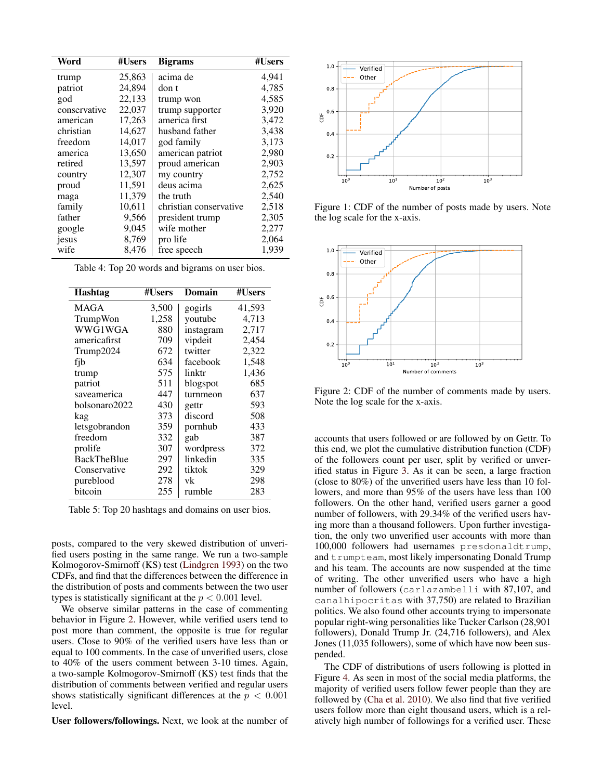<span id="page-3-0"></span>

| Word         | #Users | <b>Bigrams</b>         | #Users |
|--------------|--------|------------------------|--------|
| trump        | 25,863 | acima de               | 4,941  |
| patriot      | 24,894 | don t                  | 4,785  |
| god          | 22,133 | trump won              | 4,585  |
| conservative | 22,037 | trump supporter        | 3,920  |
| american     | 17,263 | america first          | 3,472  |
| christian    | 14,627 | husband father         | 3,438  |
| freedom      | 14,017 | god family             | 3,173  |
| america      | 13,650 | american patriot       | 2,980  |
| retired      | 13,597 | proud american         | 2,903  |
| country      | 12,307 | my country             | 2,752  |
| proud        | 11,591 | deus acima             | 2,625  |
| maga         | 11,379 | the truth              | 2,540  |
| family       | 10,611 | christian conservative | 2,518  |
| father       | 9,566  | president trump        | 2,305  |
| google       | 9,045  | wife mother            | 2,277  |
| jesus        | 8,769  | pro life               | 2,064  |
| wife         | 8,476  | free speech            | 1,939  |

Table 4: Top 20 words and bigrams on user bios.

<span id="page-3-1"></span>

| <b>Hashtag</b>     | #Users | Domain    | #Users |
|--------------------|--------|-----------|--------|
| <b>MAGA</b>        | 3,500  | gogirls   | 41,593 |
| TrumpWon           | 1,258  | youtube   | 4,713  |
| WWG1WGA            | 880    | instagram | 2,717  |
| americafirst       | 709    | vipdeit   | 2,454  |
| Trump2024          | 672    | twitter   | 2,322  |
| fib                | 634    | facebook  | 1,548  |
| trump              | 575    | linktr    | 1,436  |
| patriot            | 511    | blogspot  | 685    |
| saveamerica        | 447    | turnmeon  | 637    |
| bolsonaro2022      | 430    | gettr     | 593    |
| kag                | 373    | discord   | 508    |
| letsgobrandon      | 359    | pornhub   | 433    |
| freedom            | 332    | gab       | 387    |
| prolife            | 307    | wordpress | 372    |
| <b>BackTheBlue</b> | 297    | linkedin  | 335    |
| Conservative       | 292    | tiktok    | 329    |
| pureblood          | 278    | vk        | 298    |
| bitcoin            | 255    | rumble    | 283    |

Table 5: Top 20 hashtags and domains on user bios.

posts, compared to the very skewed distribution of unverified users posting in the same range. We run a two-sample Kolmogorov-Smirnoff (KS) test [\(Lindgren](#page-7-7) [1993\)](#page-7-7) on the two CDFs, and find that the differences between the difference in the distribution of posts and comments between the two user types is statistically significant at the  $p < 0.001$  level.

We observe similar patterns in the case of commenting behavior in Figure [2.](#page-3-3) However, while verified users tend to post more than comment, the opposite is true for regular users. Close to 90% of the verified users have less than or equal to 100 comments. In the case of unverified users, close to 40% of the users comment between 3-10 times. Again, a two-sample Kolmogorov-Smirnoff (KS) test finds that the distribution of comments between verified and regular users shows statistically significant differences at the  $p < 0.001$ level.

User followers/followings. Next, we look at the number of

<span id="page-3-2"></span>

Figure 1: CDF of the number of posts made by users. Note the log scale for the x-axis.

<span id="page-3-3"></span>

Figure 2: CDF of the number of comments made by users. Note the log scale for the x-axis.

accounts that users followed or are followed by on Gettr. To this end, we plot the cumulative distribution function (CDF) of the followers count per user, split by verified or unverified status in Figure [3.](#page-4-0) As it can be seen, a large fraction (close to 80%) of the unverified users have less than 10 followers, and more than 95% of the users have less than 100 followers. On the other hand, verified users garner a good number of followers, with 29.34% of the verified users having more than a thousand followers. Upon further investigation, the only two unverified user accounts with more than 100,000 followers had usernames presdonaldtrump, and trumpteam, most likely impersonating Donald Trump and his team. The accounts are now suspended at the time of writing. The other unverified users who have a high number of followers (carlazambelli with 87,107, and canalhipocritas with 37,750) are related to Brazilian politics. We also found other accounts trying to impersonate popular right-wing personalities like Tucker Carlson (28,901 followers), Donald Trump Jr. (24,716 followers), and Alex Jones (11,035 followers), some of which have now been suspended.

The CDF of distributions of users following is plotted in Figure [4.](#page-4-1) As seen in most of the social media platforms, the majority of verified users follow fewer people than they are followed by [\(Cha et al.](#page-7-8) [2010\)](#page-7-8). We also find that five verified users follow more than eight thousand users, which is a relatively high number of followings for a verified user. These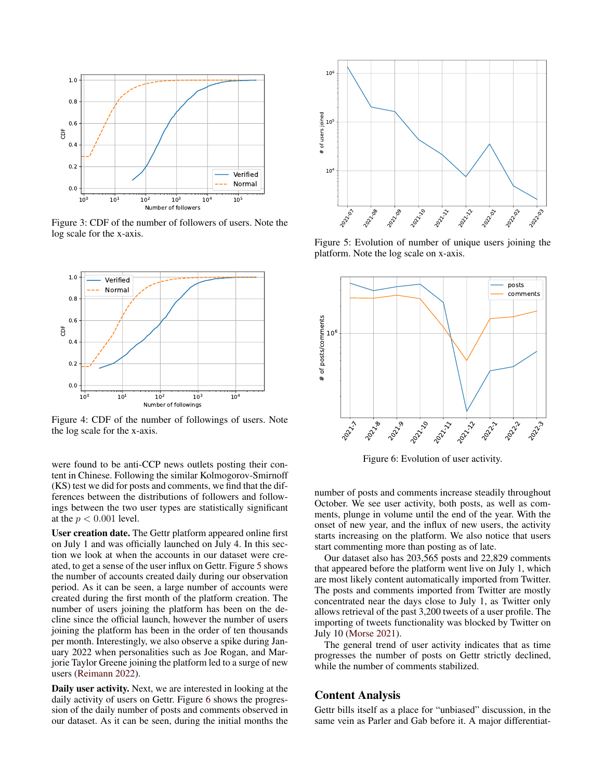<span id="page-4-0"></span>

Figure 3: CDF of the number of followers of users. Note the log scale for the x-axis.

<span id="page-4-1"></span>

Figure 4: CDF of the number of followings of users. Note the log scale for the x-axis.

were found to be anti-CCP news outlets posting their content in Chinese. Following the similar Kolmogorov-Smirnoff (KS) test we did for posts and comments, we find that the differences between the distributions of followers and followings between the two user types are statistically significant at the  $p < 0.001$  level.

User creation date. The Gettr platform appeared online first on July 1 and was officially launched on July 4. In this section we look at when the accounts in our dataset were created, to get a sense of the user influx on Gettr. Figure [5](#page-4-2) shows the number of accounts created daily during our observation period. As it can be seen, a large number of accounts were created during the first month of the platform creation. The number of users joining the platform has been on the decline since the official launch, however the number of users joining the platform has been in the order of ten thousands per month. Interestingly, we also observe a spike during January 2022 when personalities such as Joe Rogan, and Marjorie Taylor Greene joining the platform led to a surge of new users [\(Reimann](#page-8-7) [2022\)](#page-8-7). Figure 3: CDF of the number of followers of users. Note the<br>
log scale for the x-axis.<br>
Figure 5: Eplatform. N<br>  $^{26}$ <br>  $^{28}$ <br>  $^{24}$ <br>  $^{26}$ <br>  $^{28}$ <br>  $^{28}$ <br>  $^{29}$ <br>  $^{29}$ <br>  $^{29}$ <br>  $^{29}$ <br>  $^{29}$ <br>  $^{29}$ <br>  $^{29}$ <br>  $^{29}$ 

Daily user activity. Next, we are interested in looking at the daily activity of users on Gettr. Figure [6](#page-4-3) shows the progression of the daily number of posts and comments observed in our dataset. As it can be seen, during the initial months the

<span id="page-4-2"></span>

Figure 5: Evolution of number of unique users joining the platform. Note the log scale on x-axis.

<span id="page-4-3"></span>

Figure 6: Evolution of user activity.

number of posts and comments increase steadily throughout October. We see user activity, both posts, as well as comments, plunge in volume until the end of the year. With the onset of new year, and the influx of new users, the activity starts increasing on the platform. We also notice that users start commenting more than posting as of late.

Our dataset also has 203,565 posts and 22,829 comments that appeared before the platform went live on July 1, which are most likely content automatically imported from Twitter. The posts and comments imported from Twitter are mostly concentrated near the days close to July 1, as Twitter only allows retrieval of the past 3,200 tweets of a user profile. The importing of tweets functionality was blocked by Twitter on July 10 [\(Morse](#page-7-9) [2021\)](#page-7-9).

The general trend of user activity indicates that as time progresses the number of posts on Gettr strictly declined, while the number of comments stabilized.

#### Content Analysis

Gettr bills itself as a place for "unbiased" discussion, in the same vein as Parler and Gab before it. A major differentiat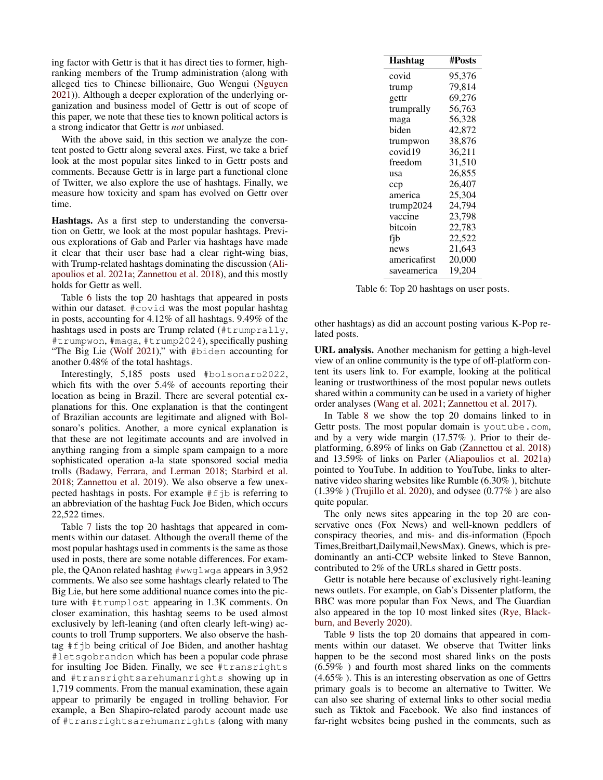ing factor with Gettr is that it has direct ties to former, highranking members of the Trump administration (along with alleged ties to Chinese billionaire, Guo Wengui [\(Nguyen](#page-8-8) [2021\)](#page-8-8)). Although a deeper exploration of the underlying organization and business model of Gettr is out of scope of this paper, we note that these ties to known political actors is a strong indicator that Gettr is *not* unbiased.

With the above said, in this section we analyze the content posted to Gettr along several axes. First, we take a brief look at the most popular sites linked to in Gettr posts and comments. Because Gettr is in large part a functional clone of Twitter, we also explore the use of hashtags. Finally, we measure how toxicity and spam has evolved on Gettr over time.

Hashtags. As a first step to understanding the conversation on Gettr, we look at the most popular hashtags. Previous explorations of Gab and Parler via hashtags have made it clear that their user base had a clear right-wing bias, with Trump-related hashtags dominating the discussion [\(Ali](#page-7-0)[apoulios et al.](#page-7-0) [2021a;](#page-7-0) [Zannettou et al.](#page-8-1) [2018\)](#page-8-1), and this mostly holds for Gettr as well.

Table [6](#page-5-0) lists the top 20 hashtags that appeared in posts within our dataset. #covid was the most popular hashtag in posts, accounting for 4.12% of all hashtags. 9.49% of the hashtags used in posts are Trump related  $(\text{trumprally},$ #trumpwon, #maga, #trump2024), specifically pushing "The Big Lie [\(Wolf](#page-8-9) [2021\)](#page-8-9)," with #biden accounting for another 0.48% of the total hashtags.

Interestingly, 5,185 posts used #bolsonaro2022, which fits with the over 5.4% of accounts reporting their location as being in Brazil. There are several potential explanations for this. One explanation is that the contingent of Brazilian accounts are legitimate and aligned with Bolsonaro's politics. Another, a more cynical explanation is that these are not legitimate accounts and are involved in anything ranging from a simple spam campaign to a more sophisticated operation a-la state sponsored social media trolls [\(Badawy, Ferrara, and Lerman](#page-7-10) [2018;](#page-7-10) [Starbird et al.](#page-8-10) [2018;](#page-8-10) [Zannettou et al.](#page-8-11) [2019\)](#page-8-11). We also observe a few unexpected hashtags in posts. For example  $#f$ jb is referring to an abbreviation of the hashtag Fuck Joe Biden, which occurs 22,522 times.

Table [7](#page-6-0) lists the top 20 hashtags that appeared in comments within our dataset. Although the overall theme of the most popular hashtags used in comments is the same as those used in posts, there are some notable differences. For example, the QAnon related hashtag #wwg1wga appears in 3,952 comments. We also see some hashtags clearly related to The Big Lie, but here some additional nuance comes into the picture with #trumplost appearing in 1.3K comments. On closer examination, this hashtag seems to be used almost exclusively by left-leaning (and often clearly left-wing) accounts to troll Trump supporters. We also observe the hashtag #fjb being critical of Joe Biden, and another hashtag #letsgobrandon which has been a popular code phrase for insulting Joe Biden. Finally, we see #transrights and #transrightsarehumanrights showing up in 1,719 comments. From the manual examination, these again appear to primarily be engaged in trolling behavior. For example, a Ben Shapiro-related parody account made use of #transrightsarehumanrights (along with many

<span id="page-5-0"></span>

| Hashtag      | #Posts |
|--------------|--------|
| covid        | 95,376 |
| trump        | 79,814 |
| gettr        | 69,276 |
| trumprally   | 56,763 |
| maga         | 56,328 |
| biden        | 42,872 |
| trumpwon     | 38,876 |
| covid19      | 36,211 |
| freedom      | 31,510 |
| usa          | 26,855 |
| ccp          | 26,407 |
| america      | 25,304 |
| trump2024    | 24,794 |
| vaccine      | 23,798 |
| bitcoin      | 22,783 |
| fib          | 22,522 |
| news         | 21,643 |
| americafirst | 20,000 |
| saveamerica  | 19,204 |

Table 6: Top 20 hashtags on user posts.

other hashtags) as did an account posting various K-Pop related posts.

URL analysis. Another mechanism for getting a high-level view of an online community is the type of off-platform content its users link to. For example, looking at the political leaning or trustworthiness of the most popular news outlets shared within a community can be used in a variety of higher order analyses [\(Wang et al.](#page-8-12) [2021;](#page-8-12) [Zannettou et al.](#page-8-13) [2017\)](#page-8-13).

In Table [8](#page-6-1) we show the top 20 domains linked to in Gettr posts. The most popular domain is youtube.com, and by a very wide margin (17.57% ). Prior to their deplatforming, 6.89% of links on Gab [\(Zannettou et al.](#page-8-1) [2018\)](#page-8-1) and 13.59% of links on Parler [\(Aliapoulios et al.](#page-7-0) [2021a\)](#page-7-0) pointed to YouTube. In addition to YouTube, links to alternative video sharing websites like Rumble (6.30% ), bitchute  $(1.39\%)$  [\(Trujillo et al.](#page-8-14) [2020\)](#page-8-14), and odysee  $(0.77\%)$  are also quite popular.

The only news sites appearing in the top 20 are conservative ones (Fox News) and well-known peddlers of conspiracy theories, and mis- and dis-information (Epoch Times,Breitbart,Dailymail,NewsMax). Gnews, which is predominantly an anti-CCP website linked to Steve Bannon, contributed to 2% of the URLs shared in Gettr posts.

Gettr is notable here because of exclusively right-leaning news outlets. For example, on Gab's Dissenter platform, the BBC was more popular than Fox News, and The Guardian also appeared in the top 10 most linked sites [\(Rye, Black](#page-8-15)[burn, and Beverly](#page-8-15) [2020\)](#page-8-15).

Table [9](#page-7-11) lists the top 20 domains that appeared in comments within our dataset. We observe that Twitter links happen to be the second most shared links on the posts (6.59% ) and fourth most shared links on the comments (4.65% ). This is an interesting observation as one of Gettrs primary goals is to become an alternative to Twitter. We can also see sharing of external links to other social media such as Tiktok and Facebook. We also find instances of far-right websites being pushed in the comments, such as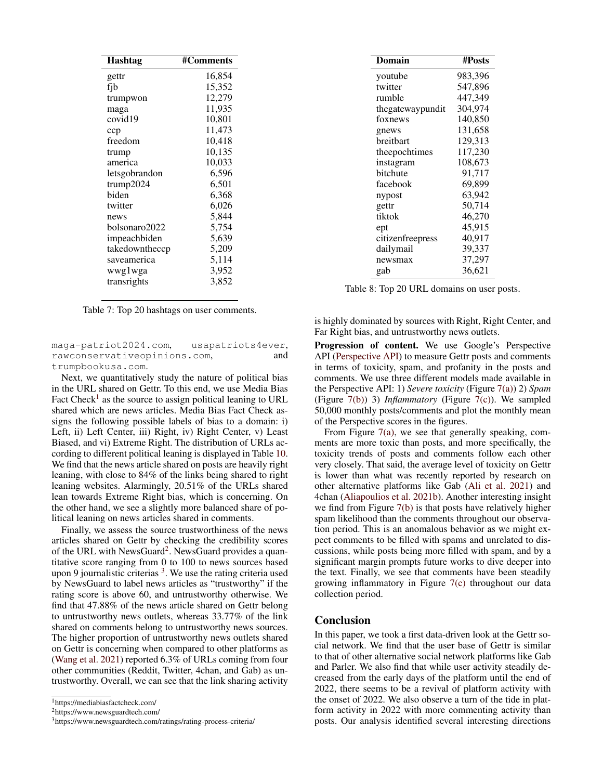<span id="page-6-0"></span>

| <b>Hashtag</b> | #Comments |
|----------------|-----------|
| gettr          | 16,854    |
| fib            | 15,352    |
| trumpwon       | 12,279    |
| maga           | 11,935    |
| covid19        | 10,801    |
| ccp            | 11,473    |
| freedom        | 10,418    |
| trump          | 10,135    |
| america        | 10,033    |
| letsgobrandon  | 6,596     |
| trump2024      | 6,501     |
| biden          | 6,368     |
| twitter        | 6,026     |
| news           | 5,844     |
| bolsonaro2022  | 5,754     |
| impeachbiden   | 5,639     |
| takedowntheccp | 5,209     |
| saveamerica    | 5,114     |
| wwglwga        | 3,952     |
| transrights    | 3,852     |

| Table 7: Top 20 hashtags on user comments. |  |  |
|--------------------------------------------|--|--|
|--------------------------------------------|--|--|

maga-patriot2024.com, usapatriots4ever, rawconservativeopinions.com, and trumpbookusa.com.

Next, we quantitatively study the nature of political bias in the URL shared on Gettr. To this end, we use Media Bias Fact Check<sup>[1](#page-6-2)</sup> as the source to assign political leaning to URL shared which are news articles. Media Bias Fact Check assigns the following possible labels of bias to a domain: i) Left, ii) Left Center, iii) Right, iv) Right Center, v) Least Biased, and vi) Extreme Right. The distribution of URLs according to different political leaning is displayed in Table [10.](#page-7-12) We find that the news article shared on posts are heavily right leaning, with close to 84% of the links being shared to right leaning websites. Alarmingly, 20.51% of the URLs shared lean towards Extreme Right bias, which is concerning. On the other hand, we see a slightly more balanced share of political leaning on news articles shared in comments.

Finally, we assess the source trustworthiness of the news articles shared on Gettr by checking the credibility scores of the URL with NewsGuard<sup>[2](#page-6-3)</sup>. NewsGuard provides a quantitative score ranging from 0 to 100 to news sources based upon 9 journalistic criterias  $3$ . We use the rating criteria used by NewsGuard to label news articles as "trustworthy" if the rating score is above 60, and untrustworthy otherwise. We find that 47.88% of the news article shared on Gettr belong to untrustworthy news outlets, whereas 33.77% of the link shared on comments belong to untrustworthy news sources. The higher proportion of untrustworthy news outlets shared on Gettr is concerning when compared to other platforms as [\(Wang et al.](#page-8-12) [2021\)](#page-8-12) reported 6.3% of URLs coming from four other communities (Reddit, Twitter, 4chan, and Gab) as untrustworthy. Overall, we can see that the link sharing activity

<span id="page-6-3"></span><sup>2</sup>https://www.newsguardtech.com/

<span id="page-6-1"></span>

| Domain           | #Posts  |
|------------------|---------|
| youtube          | 983,396 |
| twitter          | 547,896 |
| rumble           | 447.349 |
| thegatewaypundit | 304,974 |
| foxnews          | 140,850 |
| gnews            | 131,658 |
| breitbart        | 129,313 |
| theepochtimes    | 117,230 |
| instagram        | 108,673 |
| bitchute         | 91,717  |
| facebook         | 69,899  |
| nypost           | 63,942  |
| gettr            | 50,714  |
| tiktok           | 46,270  |
| ept              | 45,915  |
| citizenfreepress | 40,917  |
| dailymail        | 39,337  |
| newsmax          | 37,297  |
| gab              | 36,621  |

Table 8: Top 20 URL domains on user posts.

is highly dominated by sources with Right, Right Center, and Far Right bias, and untrustworthy news outlets.

Progression of content. We use Google's Perspective API [\(Perspective API\)](#page-8-16) to measure Gettr posts and comments in terms of toxicity, spam, and profanity in the posts and comments. We use three different models made available in the Perspective API: 1) *Severe toxicity* (Figure [7\(a\)\)](#page-7-13) 2) *Spam* (Figure [7\(b\)\)](#page-7-14) 3) *Inflammatory* (Figure [7\(c\)\)](#page-7-15). We sampled 50,000 monthly posts/comments and plot the monthly mean of the Perspective scores in the figures.

From Figure [7\(a\),](#page-7-13) we see that generally speaking, comments are more toxic than posts, and more specifically, the toxicity trends of posts and comments follow each other very closely. That said, the average level of toxicity on Gettr is lower than what was recently reported by research on other alternative platforms like Gab [\(Ali et al.](#page-7-3) [2021\)](#page-7-3) and 4chan [\(Aliapoulios et al.](#page-7-6) [2021b\)](#page-7-6). Another interesting insight we find from Figure [7\(b\)](#page-7-14) is that posts have relatively higher spam likelihood than the comments throughout our observation period. This is an anomalous behavior as we might expect comments to be filled with spams and unrelated to discussions, while posts being more filled with spam, and by a significant margin prompts future works to dive deeper into the text. Finally, we see that comments have been steadily growing inflammatory in Figure [7\(c\)](#page-7-15) throughout our data collection period.

#### Conclusion

In this paper, we took a first data-driven look at the Gettr social network. We find that the user base of Gettr is similar to that of other alternative social network platforms like Gab and Parler. We also find that while user activity steadily decreased from the early days of the platform until the end of 2022, there seems to be a revival of platform activity with the onset of 2022. We also observe a turn of the tide in platform activity in 2022 with more commenting activity than posts. Our analysis identified several interesting directions

<span id="page-6-2"></span><sup>1</sup>https://mediabiasfactcheck.com/

<span id="page-6-4"></span><sup>3</sup>https://www.newsguardtech.com/ratings/rating-process-criteria/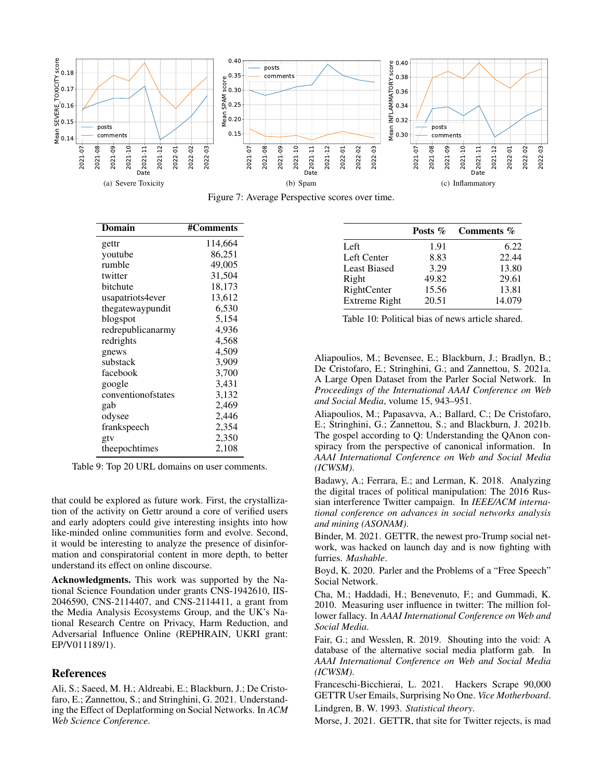<span id="page-7-13"></span>

<span id="page-7-14"></span>Figure 7: Average Perspective scores over time.

<span id="page-7-11"></span>

| Domain             | #Comments |
|--------------------|-----------|
| gettr              | 114,664   |
| youtube            | 86,251    |
| rumble             | 49,005    |
| twitter            | 31,504    |
| bitchute           | 18,173    |
| usapatriots4ever   | 13,612    |
| thegatewaypundit   | 6,530     |
| blogspot           | 5,154     |
| redrepublicanarmy  | 4,936     |
| redrights          | 4,568     |
| gnews              | 4,509     |
| substack           | 3,909     |
| facebook           | 3,700     |
| google             | 3,431     |
| conventionofstates | 3,132     |
| gab                | 2,469     |
| odysee             | 2,446     |
| frankspeech        | 2,354     |
| gtv                | 2,350     |
| theepochtimes      | 2,108     |

Table 9: Top 20 URL domains on user comments.

that could be explored as future work. First, the crystallization of the activity on Gettr around a core of verified users and early adopters could give interesting insights into how like-minded online communities form and evolve. Second, it would be interesting to analyze the presence of disinformation and conspiratorial content in more depth, to better understand its effect on online discourse.

Acknowledgments. This work was supported by the National Science Foundation under grants CNS-1942610, IIS-2046590, CNS-2114407, and CNS-2114411, a grant from the Media Analysis Ecosystems Group, and the UK's National Research Centre on Privacy, Harm Reduction, and Adversarial Influence Online (REPHRAIN, UKRI grant: EP/V011189/1).

## **References**

<span id="page-7-3"></span>Ali, S.; Saeed, M. H.; Aldreabi, E.; Blackburn, J.; De Cristofaro, E.; Zannettou, S.; and Stringhini, G. 2021. Understanding the Effect of Deplatforming on Social Networks. In *ACM Web Science Conference*.

<span id="page-7-15"></span><span id="page-7-12"></span>

|                      | Posts $\%$ | Comments % |
|----------------------|------------|------------|
| Left                 | 1.91       | 6.22       |
| Left Center          | 8.83       | 22.44      |
| <b>Least Biased</b>  | 3.29       | 13.80      |
| Right                | 49.82      | 29.61      |
| RightCenter          | 15.56      | 13.81      |
| <b>Extreme Right</b> | 20.51      | 14.079     |

Table 10: Political bias of news article shared.

<span id="page-7-0"></span>Aliapoulios, M.; Bevensee, E.; Blackburn, J.; Bradlyn, B.; De Cristofaro, E.; Stringhini, G.; and Zannettou, S. 2021a. A Large Open Dataset from the Parler Social Network. In *Proceedings of the International AAAI Conference on Web and Social Media*, volume 15, 943–951.

<span id="page-7-6"></span>Aliapoulios, M.; Papasavva, A.; Ballard, C.; De Cristofaro, E.; Stringhini, G.; Zannettou, S.; and Blackburn, J. 2021b. The gospel according to Q: Understanding the QAnon conspiracy from the perspective of canonical information. In *AAAI International Conference on Web and Social Media (ICWSM)*.

<span id="page-7-10"></span>Badawy, A.; Ferrara, E.; and Lerman, K. 2018. Analyzing the digital traces of political manipulation: The 2016 Russian interference Twitter campaign. In *IEEE/ACM international conference on advances in social networks analysis and mining (ASONAM)*.

<span id="page-7-4"></span>Binder, M. 2021. GETTR, the newest pro-Trump social network, was hacked on launch day and is now fighting with furries. *Mashable*.

<span id="page-7-1"></span>Boyd, K. 2020. Parler and the Problems of a "Free Speech" Social Network.

<span id="page-7-8"></span>Cha, M.; Haddadi, H.; Benevenuto, F.; and Gummadi, K. 2010. Measuring user influence in twitter: The million follower fallacy. In *AAAI International Conference on Web and Social Media*.

<span id="page-7-2"></span>Fair, G.; and Wesslen, R. 2019. Shouting into the void: A database of the alternative social media platform gab. In *AAAI International Conference on Web and Social Media (ICWSM)*.

<span id="page-7-5"></span>Franceschi-Bicchierai, L. 2021. Hackers Scrape 90,000 GETTR User Emails, Surprising No One. *Vice Motherboard*. Lindgren, B. W. 1993. *Statistical theory*.

<span id="page-7-9"></span><span id="page-7-7"></span>Morse, J. 2021. GETTR, that site for Twitter rejects, is mad